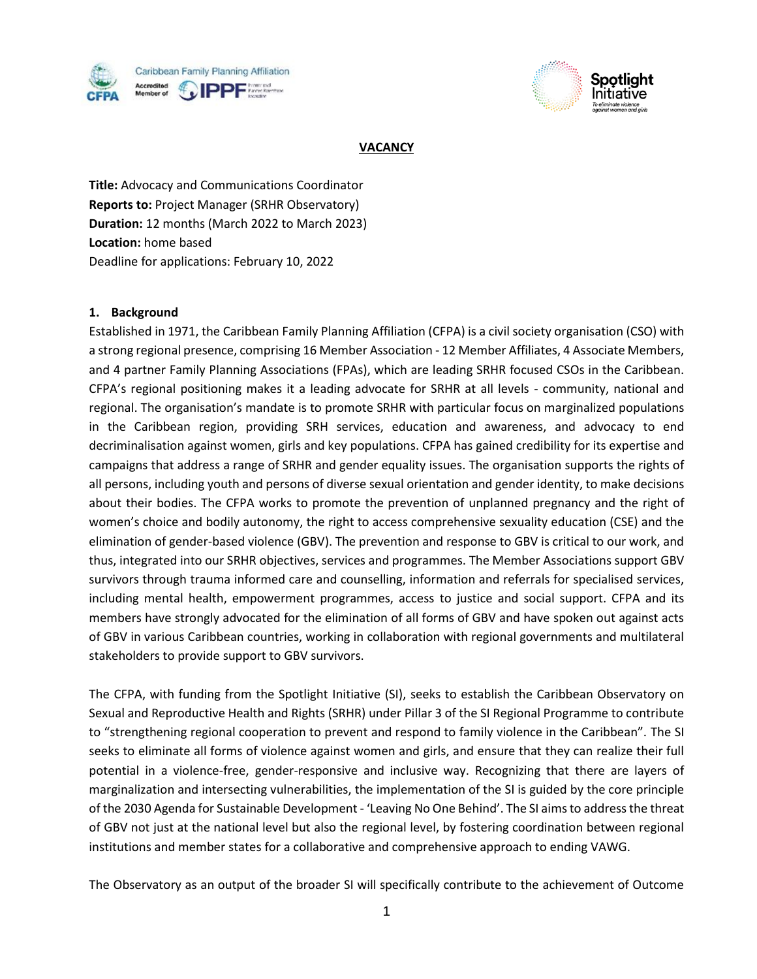



### **VACANCY**

**Title:** Advocacy and Communications Coordinator **Reports to:** Project Manager (SRHR Observatory) **Duration:** 12 months (March 2022 to March 2023) **Location:** home based Deadline for applications: February 10, 2022

### **1. Background**

Established in 1971, the Caribbean Family Planning Affiliation (CFPA) is a civil society organisation (CSO) with a strong regional presence, comprising 16 Member Association - 12 Member Affiliates, 4 Associate Members, and 4 partner Family Planning Associations (FPAs), which are leading SRHR focused CSOs in the Caribbean. CFPA's regional positioning makes it a leading advocate for SRHR at all levels - community, national and regional. The organisation's mandate is to promote SRHR with particular focus on marginalized populations in the Caribbean region, providing SRH services, education and awareness, and advocacy to end decriminalisation against women, girls and key populations. CFPA has gained credibility for its expertise and campaigns that address a range of SRHR and gender equality issues. The organisation supports the rights of all persons, including youth and persons of diverse sexual orientation and gender identity, to make decisions about their bodies. The CFPA works to promote the prevention of unplanned pregnancy and the right of women's choice and bodily autonomy, the right to access comprehensive sexuality education (CSE) and the elimination of gender-based violence (GBV). The prevention and response to GBV is critical to our work, and thus, integrated into our SRHR objectives, services and programmes. The Member Associations support GBV survivors through trauma informed care and counselling, information and referrals for specialised services, including mental health, empowerment programmes, access to justice and social support. CFPA and its members have strongly advocated for the elimination of all forms of GBV and have spoken out against acts of GBV in various Caribbean countries, working in collaboration with regional governments and multilateral stakeholders to provide support to GBV survivors.

The CFPA, with funding from the Spotlight Initiative (SI), seeks to establish the Caribbean Observatory on Sexual and Reproductive Health and Rights (SRHR) under Pillar 3 of the SI Regional Programme to contribute to "strengthening regional cooperation to prevent and respond to family violence in the Caribbean". The SI seeks to eliminate all forms of violence against women and girls, and ensure that they can realize their full potential in a violence-free, gender-responsive and inclusive way. Recognizing that there are layers of marginalization and intersecting vulnerabilities, the implementation of the SI is guided by the core principle of the 2030 Agenda for Sustainable Development - 'Leaving No One Behind'. The SI aims to address the threat of GBV not just at the national level but also the regional level, by fostering coordination between regional institutions and member states for a collaborative and comprehensive approach to ending VAWG.

The Observatory as an output of the broader SI will specifically contribute to the achievement of Outcome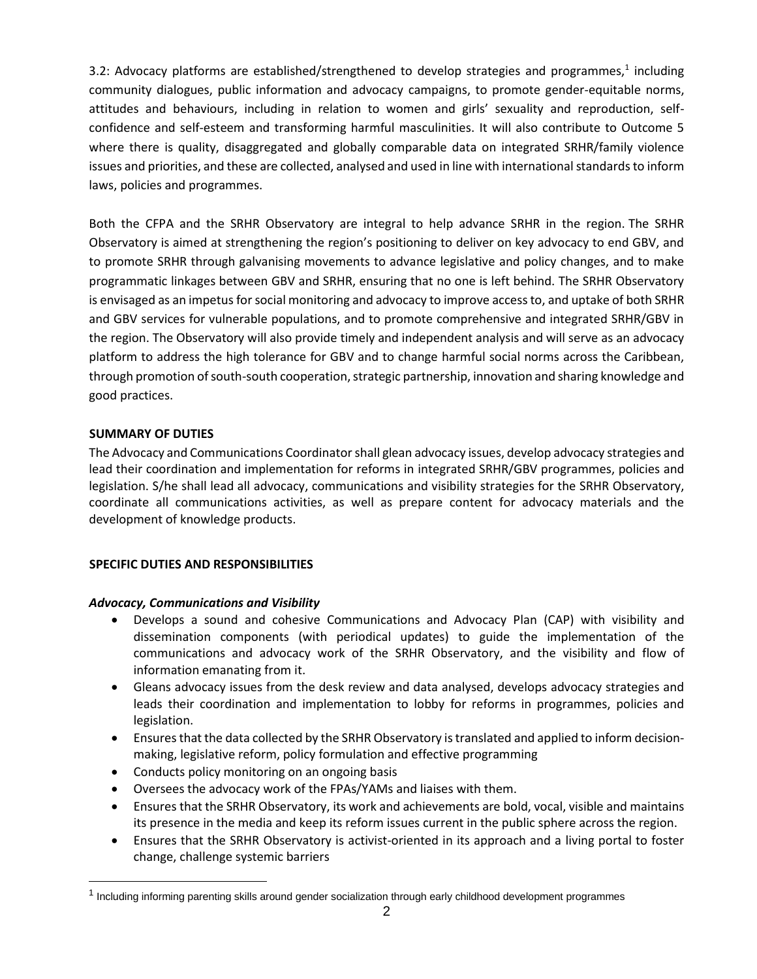3.2: Advocacy platforms are established/strengthened to develop strategies and programmes,<sup>1</sup> including community dialogues, public information and advocacy campaigns, to promote gender-equitable norms, attitudes and behaviours, including in relation to women and girls' sexuality and reproduction, selfconfidence and self-esteem and transforming harmful masculinities. It will also contribute to Outcome 5 where there is quality, disaggregated and globally comparable data on integrated SRHR/family violence issues and priorities, and these are collected, analysed and used in line with international standards to inform laws, policies and programmes.

Both the CFPA and the SRHR Observatory are integral to help advance SRHR in the region. The SRHR Observatory is aimed at strengthening the region's positioning to deliver on key advocacy to end GBV, and to promote SRHR through galvanising movements to advance legislative and policy changes, and to make programmatic linkages between GBV and SRHR, ensuring that no one is left behind. The SRHR Observatory is envisaged as an impetus for social monitoring and advocacy to improve access to, and uptake of both SRHR and GBV services for vulnerable populations, and to promote comprehensive and integrated SRHR/GBV in the region. The Observatory will also provide timely and independent analysis and will serve as an advocacy platform to address the high tolerance for GBV and to change harmful social norms across the Caribbean, through promotion of south-south cooperation, strategic partnership, innovation and sharing knowledge and good practices.

### **SUMMARY OF DUTIES**

The Advocacy and Communications Coordinator shall glean advocacy issues, develop advocacy strategies and lead their coordination and implementation for reforms in integrated SRHR/GBV programmes, policies and legislation. S/he shall lead all advocacy, communications and visibility strategies for the SRHR Observatory, coordinate all communications activities, as well as prepare content for advocacy materials and the development of knowledge products.

### **SPECIFIC DUTIES AND RESPONSIBILITIES**

### *Advocacy, Communications and Visibility*

- Develops a sound and cohesive Communications and Advocacy Plan (CAP) with visibility and dissemination components (with periodical updates) to guide the implementation of the communications and advocacy work of the SRHR Observatory, and the visibility and flow of information emanating from it.
- Gleans advocacy issues from the desk review and data analysed, develops advocacy strategies and leads their coordination and implementation to lobby for reforms in programmes, policies and legislation.
- Ensures that the data collected by the SRHR Observatory is translated and applied to inform decisionmaking, legislative reform, policy formulation and effective programming
- Conducts policy monitoring on an ongoing basis
- Oversees the advocacy work of the FPAs/YAMs and liaises with them.
- Ensures that the SRHR Observatory, its work and achievements are bold, vocal, visible and maintains its presence in the media and keep its reform issues current in the public sphere across the region.
- Ensures that the SRHR Observatory is activist-oriented in its approach and a living portal to foster change, challenge systemic barriers

<sup>&</sup>lt;sup>1</sup> Including informing parenting skills around gender socialization through early childhood development programmes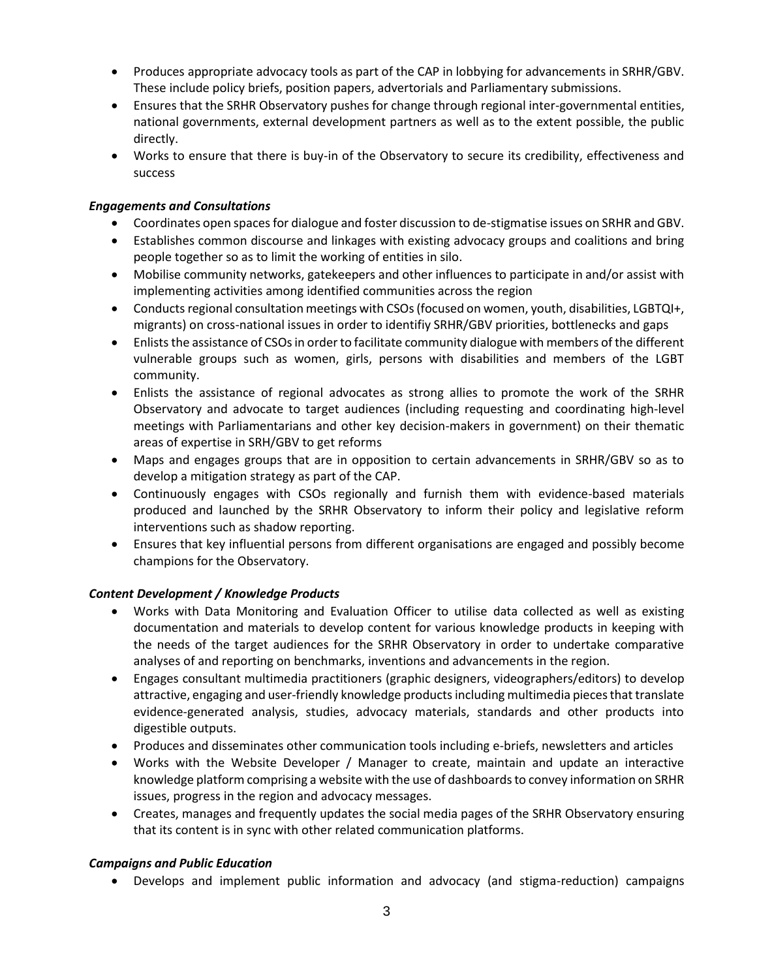- Produces appropriate advocacy tools as part of the CAP in lobbying for advancements in SRHR/GBV. These include policy briefs, position papers, advertorials and Parliamentary submissions.
- Ensures that the SRHR Observatory pushes for change through regional inter-governmental entities, national governments, external development partners as well as to the extent possible, the public directly.
- Works to ensure that there is buy-in of the Observatory to secure its credibility, effectiveness and success

## *Engagements and Consultations*

- Coordinates open spaces for dialogue and foster discussion to de-stigmatise issues on SRHR and GBV.
- Establishes common discourse and linkages with existing advocacy groups and coalitions and bring people together so as to limit the working of entities in silo.
- Mobilise community networks, gatekeepers and other influences to participate in and/or assist with implementing activities among identified communities across the region
- Conducts regional consultation meetings with CSOs (focused on women, youth, disabilities, LGBTQI+, migrants) on cross-national issues in order to identifiy SRHR/GBV priorities, bottlenecks and gaps
- Enlists the assistance of CSOs in order to facilitate community dialogue with members of the different vulnerable groups such as women, girls, persons with disabilities and members of the LGBT community.
- Enlists the assistance of regional advocates as strong allies to promote the work of the SRHR Observatory and advocate to target audiences (including requesting and coordinating high-level meetings with Parliamentarians and other key decision-makers in government) on their thematic areas of expertise in SRH/GBV to get reforms
- Maps and engages groups that are in opposition to certain advancements in SRHR/GBV so as to develop a mitigation strategy as part of the CAP.
- Continuously engages with CSOs regionally and furnish them with evidence-based materials produced and launched by the SRHR Observatory to inform their policy and legislative reform interventions such as shadow reporting.
- Ensures that key influential persons from different organisations are engaged and possibly become champions for the Observatory.

# *Content Development / Knowledge Products*

- Works with Data Monitoring and Evaluation Officer to utilise data collected as well as existing documentation and materials to develop content for various knowledge products in keeping with the needs of the target audiences for the SRHR Observatory in order to undertake comparative analyses of and reporting on benchmarks, inventions and advancements in the region.
- Engages consultant multimedia practitioners (graphic designers, videographers/editors) to develop attractive, engaging and user-friendly knowledge products including multimedia pieces that translate evidence-generated analysis, studies, advocacy materials, standards and other products into digestible outputs.
- Produces and disseminates other communication tools including e-briefs, newsletters and articles
- Works with the Website Developer / Manager to create, maintain and update an interactive knowledge platform comprising a website with the use of dashboards to convey information on SRHR issues, progress in the region and advocacy messages.
- Creates, manages and frequently updates the social media pages of the SRHR Observatory ensuring that its content is in sync with other related communication platforms.

# *Campaigns and Public Education*

• Develops and implement public information and advocacy (and stigma-reduction) campaigns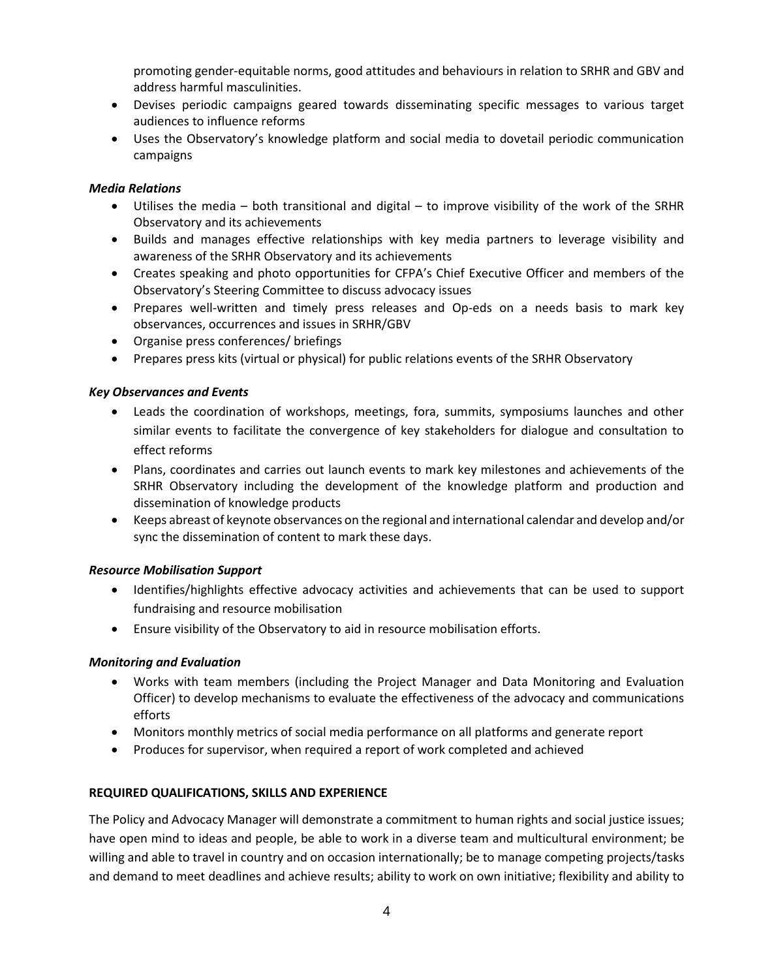promoting gender-equitable norms, good attitudes and behaviours in relation to SRHR and GBV and address harmful masculinities.

- Devises periodic campaigns geared towards disseminating specific messages to various target audiences to influence reforms
- Uses the Observatory's knowledge platform and social media to dovetail periodic communication campaigns

### *Media Relations*

- Utilises the media both transitional and digital to improve visibility of the work of the SRHR Observatory and its achievements
- Builds and manages effective relationships with key media partners to leverage visibility and awareness of the SRHR Observatory and its achievements
- Creates speaking and photo opportunities for CFPA's Chief Executive Officer and members of the Observatory's Steering Committee to discuss advocacy issues
- Prepares well-written and timely press releases and Op-eds on a needs basis to mark key observances, occurrences and issues in SRHR/GBV
- Organise press conferences/ briefings
- Prepares press kits (virtual or physical) for public relations events of the SRHR Observatory

### *Key Observances and Events*

- Leads the coordination of workshops, meetings, fora, summits, symposiums launches and other similar events to facilitate the convergence of key stakeholders for dialogue and consultation to effect reforms
- Plans, coordinates and carries out launch events to mark key milestones and achievements of the SRHR Observatory including the development of the knowledge platform and production and dissemination of knowledge products
- Keeps abreast of keynote observances on the regional and international calendar and develop and/or sync the dissemination of content to mark these days.

### *Resource Mobilisation Support*

- Identifies/highlights effective advocacy activities and achievements that can be used to support fundraising and resource mobilisation
- Ensure visibility of the Observatory to aid in resource mobilisation efforts.

# *Monitoring and Evaluation*

- Works with team members (including the Project Manager and Data Monitoring and Evaluation Officer) to develop mechanisms to evaluate the effectiveness of the advocacy and communications efforts
- Monitors monthly metrics of social media performance on all platforms and generate report
- Produces for supervisor, when required a report of work completed and achieved

# **REQUIRED QUALIFICATIONS, SKILLS AND EXPERIENCE**

The Policy and Advocacy Manager will demonstrate a commitment to human rights and social justice issues; have open mind to ideas and people, be able to work in a diverse team and multicultural environment; be willing and able to travel in country and on occasion internationally; be to manage competing projects/tasks and demand to meet deadlines and achieve results; ability to work on own initiative; flexibility and ability to